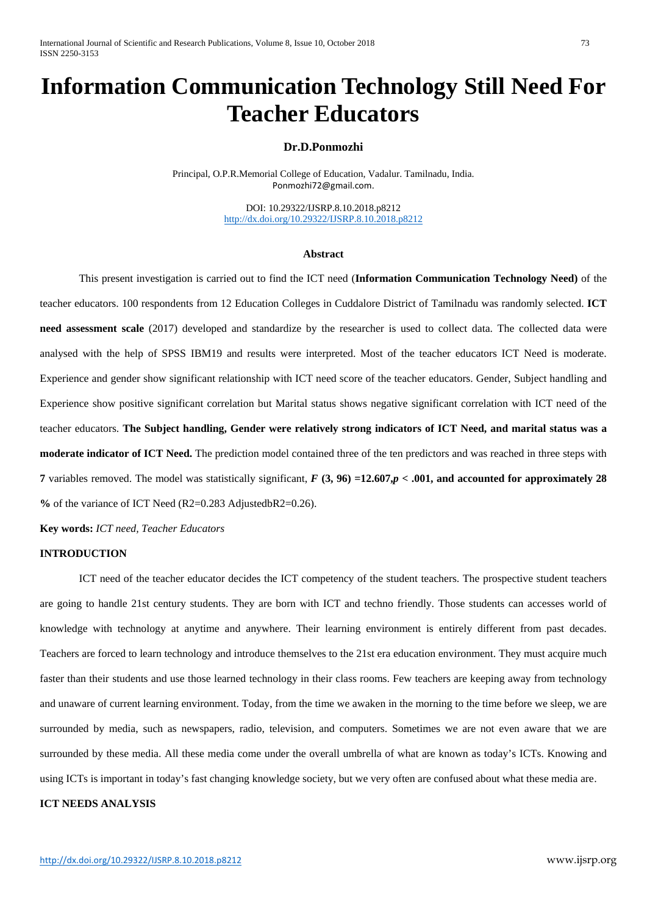# **Information Communication Technology Still Need For Teacher Educators**

## **Dr.D.Ponmozhi**

Principal, O.P.R.Memorial College of Education, Vadalur. Tamilnadu, India. [Ponmozhi72@gmail.com](mailto:Ponmozhi72@gmail.com).

> DOI: 10.29322/IJSRP.8.10.2018.p8212 <http://dx.doi.org/10.29322/IJSRP.8.10.2018.p8212>

#### **Abstract**

This present investigation is carried out to find the ICT need (**Information Communication Technology Need)** of the teacher educators. 100 respondents from 12 Education Colleges in Cuddalore District of Tamilnadu was randomly selected. **ICT need assessment scale** (2017) developed and standardize by the researcher is used to collect data. The collected data were analysed with the help of SPSS IBM19 and results were interpreted. Most of the teacher educators ICT Need is moderate. Experience and gender show significant relationship with ICT need score of the teacher educators. Gender, Subject handling and Experience show positive significant correlation but Marital status shows negative significant correlation with ICT need of the teacher educators. **The Subject handling, Gender were relatively strong indicators of ICT Need, and marital status was a moderate indicator of ICT Need.** The prediction model contained three of the ten predictors and was reached in three steps with **7** variables removed. The model was statistically significant, *F* **(3, 96) =12.607,***p* **< .001, and accounted for approximately 28 %** of the variance of ICT Need (R2=0.283 AdjustedbR2=0.26).

**Key words:** *ICT need, Teacher Educators*

# **INTRODUCTION**

ICT need of the teacher educator decides the ICT competency of the student teachers. The prospective student teachers are going to handle 21st century students. They are born with ICT and techno friendly. Those students can accesses world of knowledge with technology at anytime and anywhere. Their learning environment is entirely different from past decades. Teachers are forced to learn technology and introduce themselves to the 21st era education environment. They must acquire much faster than their students and use those learned technology in their class rooms. Few teachers are keeping away from technology and unaware of current learning environment. Today, from the time we awaken in the morning to the time before we sleep, we are surrounded by media, such as newspapers, radio, television, and computers. Sometimes we are not even aware that we are surrounded by these media. All these media come under the overall umbrella of what are known as today's ICTs. Knowing and using ICTs is important in today's fast changing knowledge society, but we very often are confused about what these media are.

# **ICT NEEDS ANALYSIS**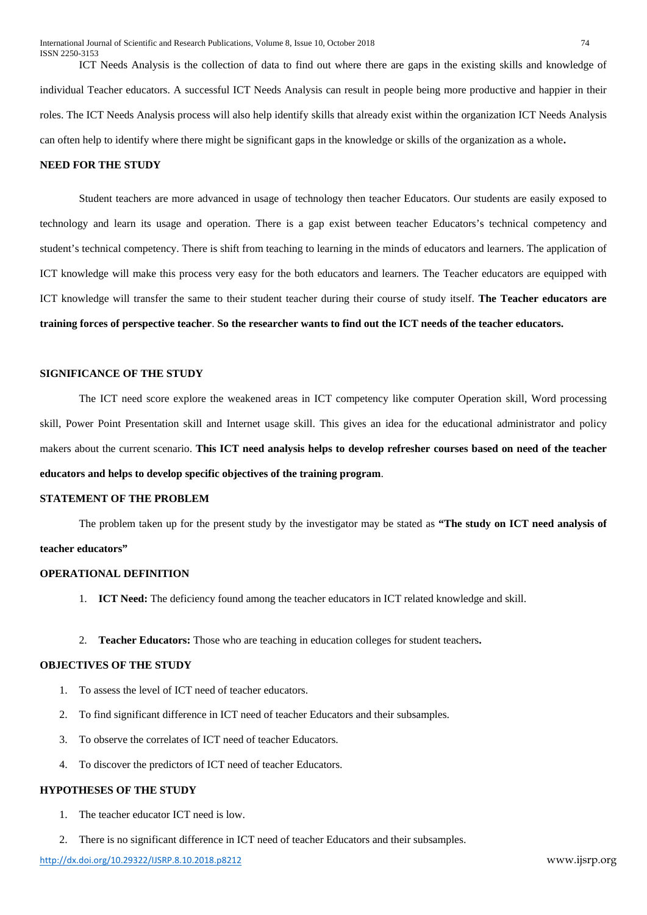ICT Needs Analysis is the collection of data to find out where there are gaps in the existing skills and knowledge of individual Teacher educators. A successful ICT Needs Analysis can result in people being more productive and happier in their roles. The ICT Needs Analysis process will also help identify skills that already exist within the organization ICT Needs Analysis can often help to identify where there might be significant gaps in the knowledge or skills of the organization as a whole**.** 

## **NEED FOR THE STUDY**

Student teachers are more advanced in usage of technology then teacher Educators. Our students are easily exposed to technology and learn its usage and operation. There is a gap exist between teacher Educators's technical competency and student's technical competency. There is shift from teaching to learning in the minds of educators and learners. The application of ICT knowledge will make this process very easy for the both educators and learners. The Teacher educators are equipped with ICT knowledge will transfer the same to their student teacher during their course of study itself. **The Teacher educators are training forces of perspective teacher**. **So the researcher wants to find out the ICT needs of the teacher educators.** 

# **SIGNIFICANCE OF THE STUDY**

The ICT need score explore the weakened areas in ICT competency like computer Operation skill, Word processing skill, Power Point Presentation skill and Internet usage skill. This gives an idea for the educational administrator and policy makers about the current scenario. **This ICT need analysis helps to develop refresher courses based on need of the teacher educators and helps to develop specific objectives of the training program**.

# **STATEMENT OF THE PROBLEM**

The problem taken up for the present study by the investigator may be stated as **"The study on ICT need analysis of teacher educators"** 

## **OPERATIONAL DEFINITION**

- 1. **ICT Need:** The deficiency found among the teacher educators in ICT related knowledge and skill.
- 2. **Teacher Educators:** Those who are teaching in education colleges for student teachers**.**

### **OBJECTIVES OF THE STUDY**

- 1. To assess the level of ICT need of teacher educators.
- 2. To find significant difference in ICT need of teacher Educators and their subsamples.
- 3. To observe the correlates of ICT need of teacher Educators.
- 4. To discover the predictors of ICT need of teacher Educators.

## **HYPOTHESES OF THE STUDY**

- 1. The teacher educator ICT need is low.
- 2. There is no significant difference in ICT need of teacher Educators and their subsamples.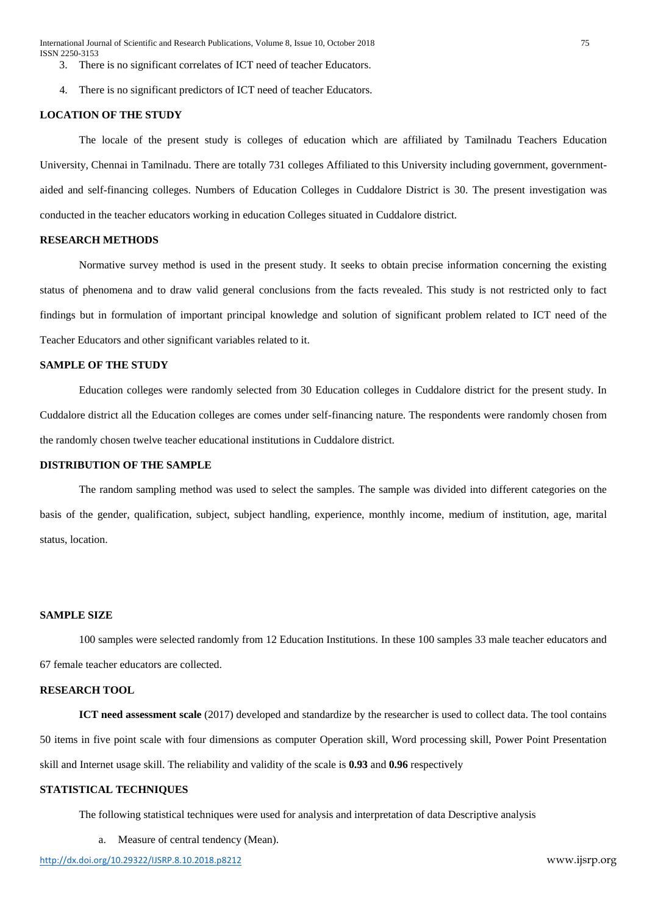International Journal of Scientific and Research Publications, Volume 8, Issue 10, October 2018 75 ISSN 2250-3153

- 3. There is no significant correlates of ICT need of teacher Educators.
- 4. There is no significant predictors of ICT need of teacher Educators.

## **LOCATION OF THE STUDY**

The locale of the present study is colleges of education which are affiliated by Tamilnadu Teachers Education University, Chennai in Tamilnadu. There are totally 731 colleges Affiliated to this University including government, governmentaided and self-financing colleges. Numbers of Education Colleges in Cuddalore District is 30. The present investigation was conducted in the teacher educators working in education Colleges situated in Cuddalore district.

#### **RESEARCH METHODS**

Normative survey method is used in the present study. It seeks to obtain precise information concerning the existing status of phenomena and to draw valid general conclusions from the facts revealed. This study is not restricted only to fact findings but in formulation of important principal knowledge and solution of significant problem related to ICT need of the Teacher Educators and other significant variables related to it.

# **SAMPLE OF THE STUDY**

Education colleges were randomly selected from 30 Education colleges in Cuddalore district for the present study. In Cuddalore district all the Education colleges are comes under self-financing nature. The respondents were randomly chosen from the randomly chosen twelve teacher educational institutions in Cuddalore district.

## **DISTRIBUTION OF THE SAMPLE**

The random sampling method was used to select the samples. The sample was divided into different categories on the basis of the gender, qualification, subject, subject handling, experience, monthly income, medium of institution, age, marital status, location.

# **SAMPLE SIZE**

100 samples were selected randomly from 12 Education Institutions. In these 100 samples 33 male teacher educators and 67 female teacher educators are collected.

## **RESEARCH TOOL**

**ICT need assessment scale** (2017) developed and standardize by the researcher is used to collect data. The tool contains 50 items in five point scale with four dimensions as computer Operation skill, Word processing skill, Power Point Presentation skill and Internet usage skill. The reliability and validity of the scale is **0.93** and **0.96** respectively

# **STATISTICAL TECHNIQUES**

The following statistical techniques were used for analysis and interpretation of data Descriptive analysis

a. Measure of central tendency (Mean).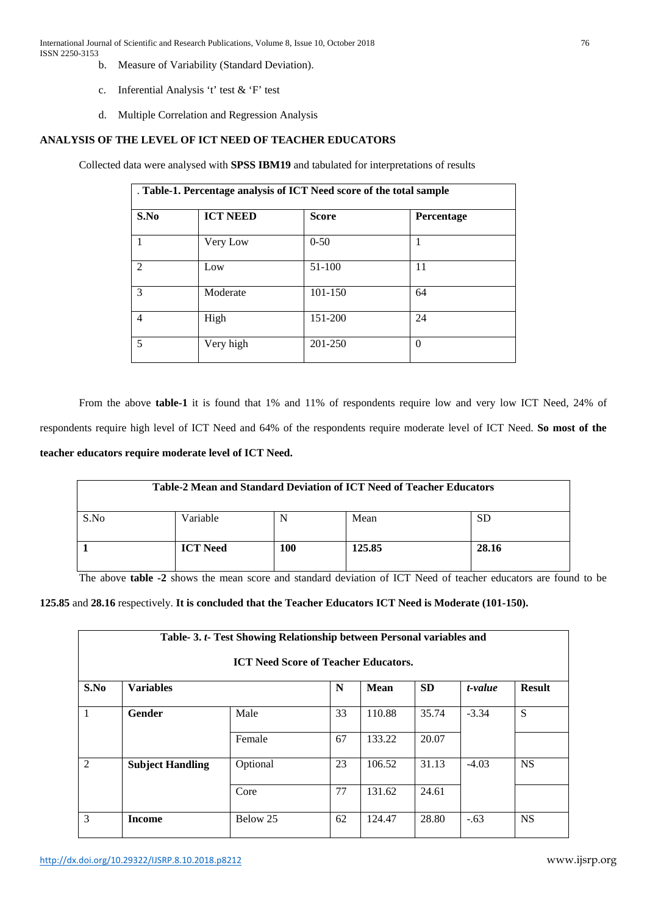- b. Measure of Variability (Standard Deviation).
- c. Inferential Analysis 't' test & 'F' test
- d. Multiple Correlation and Regression Analysis

# **ANALYSIS OF THE LEVEL OF ICT NEED OF TEACHER EDUCATORS**

Collected data were analysed with **SPSS IBM19** and tabulated for interpretations of results

| . Table-1. Percentage analysis of ICT Need score of the total sample |                 |              |            |  |  |
|----------------------------------------------------------------------|-----------------|--------------|------------|--|--|
| S.No                                                                 | <b>ICT NEED</b> | <b>Score</b> | Percentage |  |  |
|                                                                      | Very Low        | $0 - 50$     | 1          |  |  |
| $\mathcal{D}_{\mathcal{L}}$                                          | Low             | 51-100       | 11         |  |  |
| 3                                                                    | Moderate        | 101-150      | 64         |  |  |
| $\overline{4}$                                                       | High            | 151-200      | 24         |  |  |
| $\overline{\mathcal{L}}$                                             | Very high       | 201-250      | $\theta$   |  |  |

From the above **table-1** it is found that 1% and 11% of respondents require low and very low ICT Need, 24% of respondents require high level of ICT Need and 64% of the respondents require moderate level of ICT Need. **So most of the teacher educators require moderate level of ICT Need.**

| Table-2 Mean and Standard Deviation of ICT Need of Teacher Educators |                 |     |        |           |  |  |
|----------------------------------------------------------------------|-----------------|-----|--------|-----------|--|--|
| S.No                                                                 | Variable        |     | Mean   | <b>SD</b> |  |  |
|                                                                      | <b>ICT Need</b> | 100 | 125.85 | 28.16     |  |  |

The above **table -2** shows the mean score and standard deviation of ICT Need of teacher educators are found to be

**125.85** and **28.16** respectively. **It is concluded that the Teacher Educators ICT Need is Moderate (101-150).**

| Table- 3. t- Test Showing Relationship between Personal variables and |                         |          |    |             |           |         |               |  |  |
|-----------------------------------------------------------------------|-------------------------|----------|----|-------------|-----------|---------|---------------|--|--|
| <b>ICT Need Score of Teacher Educators.</b>                           |                         |          |    |             |           |         |               |  |  |
| S.No                                                                  | <b>Variables</b>        |          | N  | <b>Mean</b> | <b>SD</b> | t-value | <b>Result</b> |  |  |
| $\overline{1}$                                                        | Gender                  | Male     | 33 | 110.88      | 35.74     | $-3.34$ | S             |  |  |
|                                                                       |                         | Female   | 67 | 133.22      | 20.07     |         |               |  |  |
| 2                                                                     | <b>Subject Handling</b> | Optional | 23 | 106.52      | 31.13     | $-4.03$ | <b>NS</b>     |  |  |
|                                                                       |                         | Core     | 77 | 131.62      | 24.61     |         |               |  |  |
| $\mathcal{E}$                                                         | <b>Income</b>           | Below 25 | 62 | 124.47      | 28.80     | $-.63$  | <b>NS</b>     |  |  |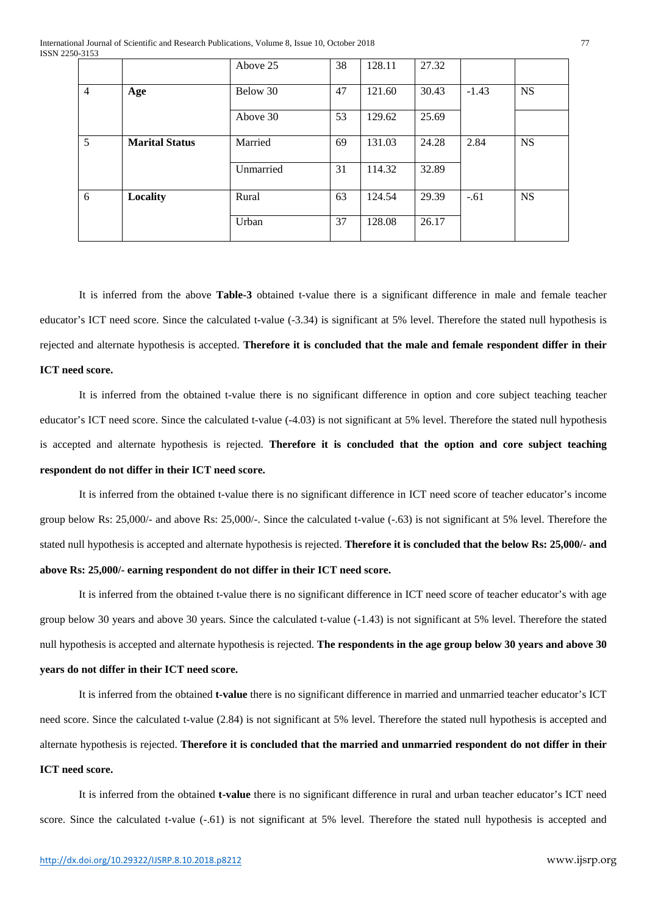|                 |                       | Above 25  | 38 | 128.11 | 27.32 |         |           |
|-----------------|-----------------------|-----------|----|--------|-------|---------|-----------|
| $\overline{4}$  | Age                   | Below 30  | 47 | 121.60 | 30.43 | $-1.43$ | <b>NS</b> |
|                 |                       | Above 30  | 53 | 129.62 | 25.69 |         |           |
| $5\overline{)}$ | <b>Marital Status</b> | Married   | 69 | 131.03 | 24.28 | 2.84    | <b>NS</b> |
|                 |                       | Unmarried | 31 | 114.32 | 32.89 |         |           |
| 6               | Locality              | Rural     | 63 | 124.54 | 29.39 | $-.61$  | <b>NS</b> |
|                 |                       | Urban     | 37 | 128.08 | 26.17 |         |           |

It is inferred from the above **Table-3** obtained t-value there is a significant difference in male and female teacher educator's ICT need score. Since the calculated t-value (-3.34) is significant at 5% level. Therefore the stated null hypothesis is rejected and alternate hypothesis is accepted. **Therefore it is concluded that the male and female respondent differ in their ICT need score.** 

It is inferred from the obtained t-value there is no significant difference in option and core subject teaching teacher educator's ICT need score. Since the calculated t-value (-4.03) is not significant at 5% level. Therefore the stated null hypothesis is accepted and alternate hypothesis is rejected. **Therefore it is concluded that the option and core subject teaching respondent do not differ in their ICT need score.** 

It is inferred from the obtained t-value there is no significant difference in ICT need score of teacher educator's income group below Rs: 25,000/- and above Rs: 25,000/-. Since the calculated t-value (-.63) is not significant at 5% level. Therefore the stated null hypothesis is accepted and alternate hypothesis is rejected. **Therefore it is concluded that the below Rs: 25,000/- and above Rs: 25,000/- earning respondent do not differ in their ICT need score.**

It is inferred from the obtained t-value there is no significant difference in ICT need score of teacher educator's with age group below 30 years and above 30 years. Since the calculated t-value (-1.43) is not significant at 5% level. Therefore the stated null hypothesis is accepted and alternate hypothesis is rejected. **The respondents in the age group below 30 years and above 30 years do not differ in their ICT need score.** 

It is inferred from the obtained **t-value** there is no significant difference in married and unmarried teacher educator's ICT need score. Since the calculated t-value (2.84) is not significant at 5% level. Therefore the stated null hypothesis is accepted and alternate hypothesis is rejected. **Therefore it is concluded that the married and unmarried respondent do not differ in their ICT need score.** 

It is inferred from the obtained **t-value** there is no significant difference in rural and urban teacher educator's ICT need score. Since the calculated t-value (-.61) is not significant at 5% level. Therefore the stated null hypothesis is accepted and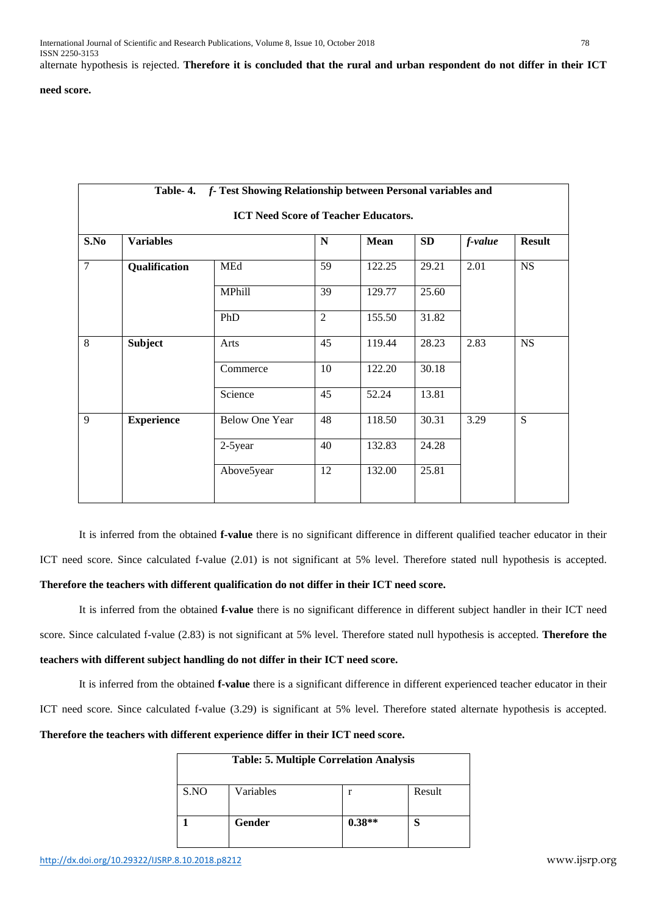alternate hypothesis is rejected. **Therefore it is concluded that the rural and urban respondent do not differ in their ICT** 

# **need score.**

| Table- 4. f- Test Showing Relationship between Personal variables and |                   |                       |                |        |           |         |               |  |  |
|-----------------------------------------------------------------------|-------------------|-----------------------|----------------|--------|-----------|---------|---------------|--|--|
| <b>ICT Need Score of Teacher Educators.</b>                           |                   |                       |                |        |           |         |               |  |  |
| S.No                                                                  | <b>Variables</b>  |                       | ${\bf N}$      | Mean   | <b>SD</b> | f-value | <b>Result</b> |  |  |
| $\overline{7}$                                                        | Qualification     | MEd                   | 59             | 122.25 | 29.21     | 2.01    | <b>NS</b>     |  |  |
|                                                                       |                   | MPhill                | 39             | 129.77 | 25.60     |         |               |  |  |
|                                                                       |                   | PhD                   | $\overline{2}$ | 155.50 | 31.82     |         |               |  |  |
| 8                                                                     | <b>Subject</b>    | Arts                  | 45             | 119.44 | 28.23     | 2.83    | <b>NS</b>     |  |  |
|                                                                       |                   | Commerce              | 10             | 122.20 | 30.18     |         |               |  |  |
|                                                                       |                   | Science               | 45             | 52.24  | 13.81     |         |               |  |  |
| 9                                                                     | <b>Experience</b> | <b>Below One Year</b> | 48             | 118.50 | 30.31     | 3.29    | S             |  |  |
|                                                                       |                   | 2-5year               | 40             | 132.83 | 24.28     |         |               |  |  |
|                                                                       |                   | Above5year            | 12             | 132.00 | 25.81     |         |               |  |  |

It is inferred from the obtained **f-value** there is no significant difference in different qualified teacher educator in their ICT need score. Since calculated f-value (2.01) is not significant at 5% level. Therefore stated null hypothesis is accepted. **Therefore the teachers with different qualification do not differ in their ICT need score.** 

It is inferred from the obtained **f-value** there is no significant difference in different subject handler in their ICT need score. Since calculated f-value (2.83) is not significant at 5% level. Therefore stated null hypothesis is accepted. **Therefore the teachers with different subject handling do not differ in their ICT need score.** 

It is inferred from the obtained **f-value** there is a significant difference in different experienced teacher educator in their ICT need score. Since calculated f-value (3.29) is significant at 5% level. Therefore stated alternate hypothesis is accepted. **Therefore the teachers with different experience differ in their ICT need score.** 

| <b>Table: 5. Multiple Correlation Analysis</b> |           |          |        |  |  |
|------------------------------------------------|-----------|----------|--------|--|--|
| S.NO                                           | Variables |          | Result |  |  |
|                                                | Gender    | $0.38**$ |        |  |  |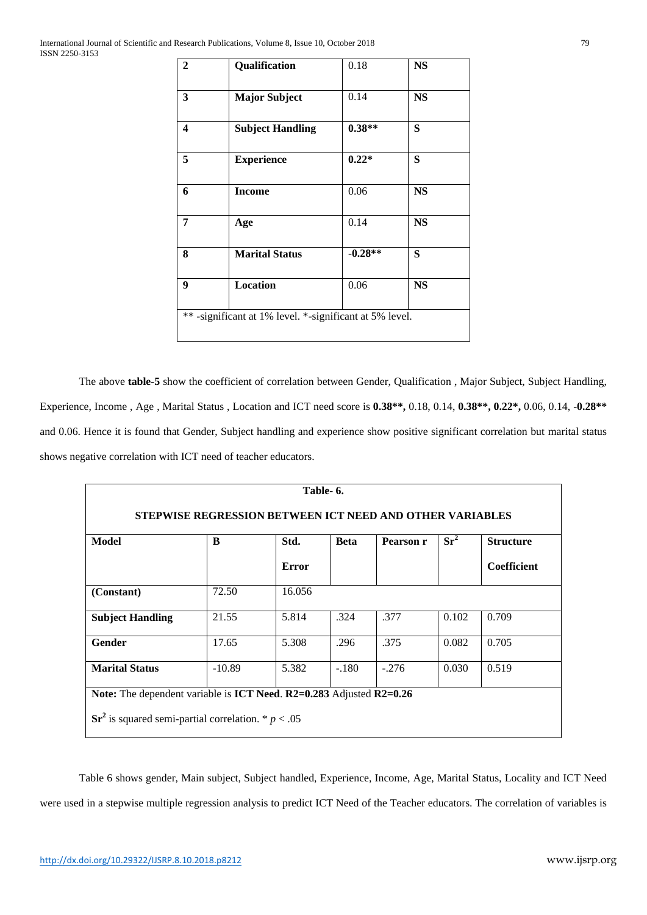| $\overline{2}$          | Qualification           | 0.18      | <b>NS</b> |
|-------------------------|-------------------------|-----------|-----------|
| $\overline{3}$          | <b>Major Subject</b>    | 0.14      | <b>NS</b> |
| $\overline{\mathbf{4}}$ | <b>Subject Handling</b> | $0.38**$  | S         |
| 5                       | <b>Experience</b>       | $0.22*$   | S         |
| 6                       | <b>Income</b>           | 0.06      | <b>NS</b> |
| $\overline{7}$          | Age                     | 0.14      | <b>NS</b> |
| 8                       | <b>Marital Status</b>   | $-0.28**$ | S         |
| $\boldsymbol{9}$        | <b>Location</b>         | 0.06      | <b>NS</b> |

The above **table-5** show the coefficient of correlation between Gender, Qualification , Major Subject, Subject Handling, Experience, Income , Age , Marital Status , Location and ICT need score is **0.38\*\*,** 0.18, 0.14, **0.38\*\*, 0.22\*,** 0.06, 0.14, -**0.28\*\***  and 0.06. Hence it is found that Gender, Subject handling and experience show positive significant correlation but marital status shows negative correlation with ICT need of teacher educators.

| Table- 6.                                                           |          |              |             |           |                 |                    |  |  |
|---------------------------------------------------------------------|----------|--------------|-------------|-----------|-----------------|--------------------|--|--|
| STEPWISE REGRESSION BETWEEN ICT NEED AND OTHER VARIABLES            |          |              |             |           |                 |                    |  |  |
| Model                                                               | B        | Std.         | <b>Beta</b> | Pearson r | Sr <sup>2</sup> | <b>Structure</b>   |  |  |
|                                                                     |          | <b>Error</b> |             |           |                 | <b>Coefficient</b> |  |  |
| (Constant)                                                          | 72.50    | 16.056       |             |           |                 |                    |  |  |
| <b>Subject Handling</b>                                             | 21.55    | 5.814        | .324        | .377      | 0.102           | 0.709              |  |  |
| <b>Gender</b>                                                       | 17.65    | 5.308        | .296        | .375      | 0.082           | 0.705              |  |  |
| <b>Marital Status</b>                                               | $-10.89$ | 5.382        | $-.180$     | $-.276$   | 0.030           | 0.519              |  |  |
| Note: The dependent variable is ICT Need. R2=0.283 Adjusted R2=0.26 |          |              |             |           |                 |                    |  |  |
| $\text{Sr}^2$ is squared semi-partial correlation. * $p < .05$      |          |              |             |           |                 |                    |  |  |

Table 6 shows gender, Main subject, Subject handled, Experience, Income, Age, Marital Status, Locality and ICT Need were used in a stepwise multiple regression analysis to predict ICT Need of the Teacher educators. The correlation of variables is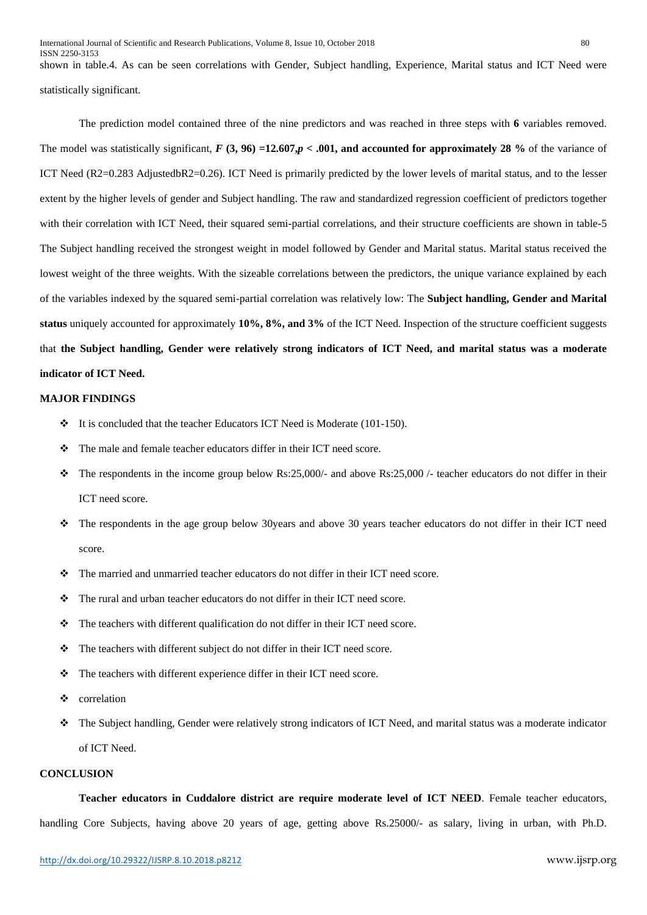shown in table.4. As can be seen correlations with Gender, Subject handling, Experience, Marital status and ICT Need were statistically significant.

The prediction model contained three of the nine predictors and was reached in three steps with **6** variables removed. The model was statistically significant,  $F(3, 96) = 12.607$ , $p < .001$ , and accounted for approximately 28 % of the variance of ICT Need (R2=0.283 AdjustedbR2=0.26). ICT Need is primarily predicted by the lower levels of marital status, and to the lesser extent by the higher levels of gender and Subject handling. The raw and standardized regression coefficient of predictors together with their correlation with ICT Need, their squared semi-partial correlations, and their structure coefficients are shown in table-5 The Subject handling received the strongest weight in model followed by Gender and Marital status. Marital status received the lowest weight of the three weights. With the sizeable correlations between the predictors, the unique variance explained by each of the variables indexed by the squared semi-partial correlation was relatively low: The **Subject handling, Gender and Marital status** uniquely accounted for approximately **10%, 8%, and 3%** of the ICT Need. Inspection of the structure coefficient suggests that **the Subject handling, Gender were relatively strong indicators of ICT Need, and marital status was a moderate indicator of ICT Need.** 

## **MAJOR FINDINGS**

- It is concluded that the teacher Educators ICT Need is Moderate (101-150).
- \* The male and female teacher educators differ in their ICT need score.
- $\div$  The respondents in the income group below Rs:25,000/- and above Rs:25,000 /- teacher educators do not differ in their ICT need score.
- The respondents in the age group below 30years and above 30 years teacher educators do not differ in their ICT need score.
- \* The married and unmarried teacher educators do not differ in their ICT need score.
- \* The rural and urban teacher educators do not differ in their ICT need score.
- \* The teachers with different qualification do not differ in their ICT need score.
- \* The teachers with different subject do not differ in their ICT need score.
- \* The teachers with different experience differ in their ICT need score.
- ❖ correlation
- The Subject handling, Gender were relatively strong indicators of ICT Need, and marital status was a moderate indicator of ICT Need.

#### **CONCLUSION**

**Teacher educators in Cuddalore district are require moderate level of ICT NEED**. Female teacher educators, handling Core Subjects, having above 20 years of age, getting above Rs.25000/- as salary, living in urban, with Ph.D.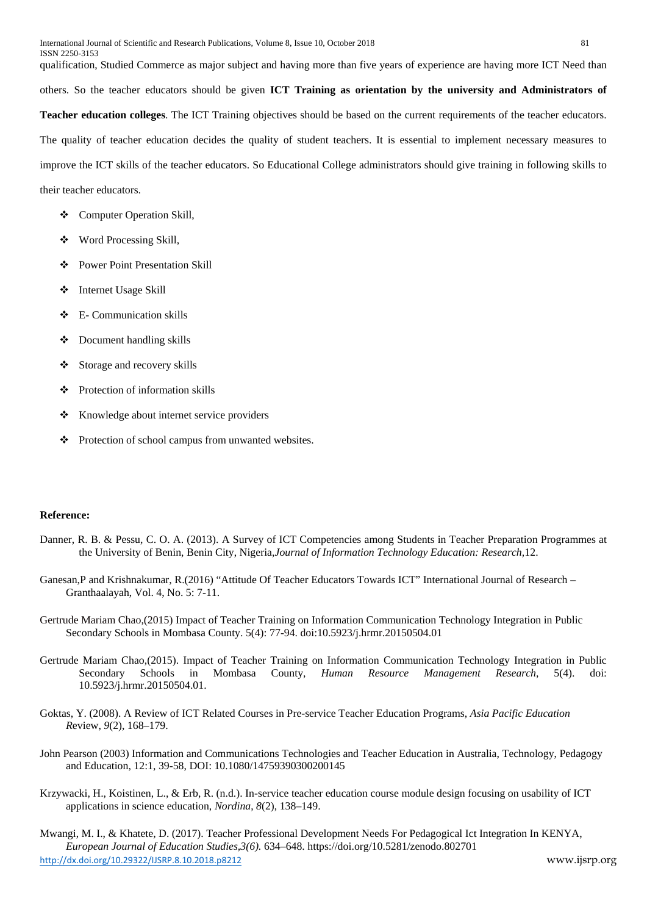qualification, Studied Commerce as major subject and having more than five years of experience are having more ICT Need than others. So the teacher educators should be given **ICT Training as orientation by the university and Administrators of Teacher education colleges**. The ICT Training objectives should be based on the current requirements of the teacher educators. The quality of teacher education decides the quality of student teachers. It is essential to implement necessary measures to improve the ICT skills of the teacher educators. So Educational College administrators should give training in following skills to their teacher educators.

- Computer Operation Skill,
- Word Processing Skill,
- Power Point Presentation Skill
- Internet Usage Skill
- $\div$  E- Communication skills
- Document handling skills
- Storage and recovery skills
- Protection of information skills
- \* Knowledge about internet service providers
- ❖ Protection of school campus from unwanted websites.

# **Reference:**

- Danner, R. B. & Pessu, C. O. A. (2013). A Survey of ICT Competencies among Students in Teacher Preparation Programmes at the University of Benin, Benin City, Nigeria,*Journal of Information Technology Education: Research,*12.
- Ganesan,P and Krishnakumar, R.(2016) "Attitude Of Teacher Educators Towards ICT" International Journal of Research Granthaalayah, Vol. 4, No. 5: 7-11.
- Gertrude Mariam Chao,(2015) Impact of Teacher Training on Information Communication Technology Integration in Public Secondary Schools in Mombasa County. 5(4): 77-94. doi:10.5923/j.hrmr.20150504.01
- Gertrude Mariam Chao,(2015). Impact of Teacher Training on Information Communication Technology Integration in Public Secondary Schools in Mombasa County, *Human Resource Management Research*, 5(4). doi: 10.5923/j.hrmr.20150504.01.
- Goktas, Y. (2008). A Review of ICT Related Courses in Pre-service Teacher Education Programs, *Asia Pacific Education R*eview, *9*(2), 168–179.
- John Pearson (2003) Information and Communications Technologies and Teacher Education in Australia, Technology, Pedagogy and Education, 12:1, 39-58, DOI: 10.1080/14759390300200145
- Krzywacki, H., Koistinen, L., & Erb, R. (n.d.). In-service teacher education course module design focusing on usability of ICT applications in science education, *Nordina*, *8*(2), 138–149.

<http://dx.doi.org/10.29322/IJSRP.8.10.2018.p8212>www.ijsrp.org Mwangi, M. I., & Khatete, D. (2017). Teacher Professional Development Needs For Pedagogical Ict Integration In KENYA, *European Journal of Education Studies,3(6).* 634–648. https://doi.org/10.5281/zenodo.802701